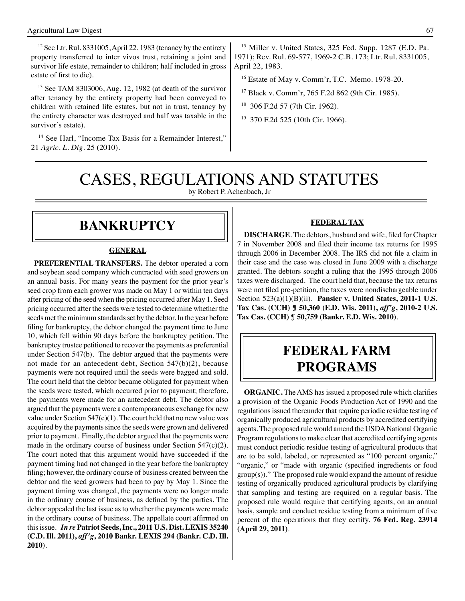$12$  See Ltr. Rul. 8331005, April 22, 1983 (tenancy by the entirety property transferred to inter vivos trust, retaining a joint and survivor life estate, remainder to children; half included in gross estate of first to die).

13 See TAM 8303006, Aug. 12, 1982 (at death of the survivor after tenancy by the entirety property had been conveyed to children with retained life estates, but not in trust, tenancy by the entirety character was destroyed and half was taxable in the survivor's estate).

<sup>14</sup> See Harl, "Income Tax Basis for a Remainder Interest," 21 *Agric. L. Dig*. 25 (2010).

15 Miller v. United States, 325 Fed. Supp. 1287 (E.D. Pa. 1971); Rev. Rul. 69-577, 1969-2 C.B. 173; Ltr. Rul. 8331005, April 22, 1983.

16 Estate of May v. Comm'r, T.C. Memo. 1978-20.

17 Black v. Comm'r, 765 F.2d 862 (9th Cir. 1985).

18 306 F.2d 57 (7th Cir. 1962).

19 370 F.2d 525 (10th Cir. 1966).

# CASES, REGULATIONS AND STATUTES

by Robert P. Achenbach, Jr

## **bankruptcy**

#### **GENERAL**

**PREFERENTIAL TRANSFERS.** The debtor operated a corn and soybean seed company which contracted with seed growers on an annual basis. For many years the payment for the prior year's seed crop from each grower was made on May 1 or within ten days after pricing of the seed when the pricing occurred after May 1. Seed pricing occurred after the seeds were tested to determine whether the seeds met the minimum standards set by the debtor. In the year before filing for bankruptcy, the debtor changed the payment time to June 10, which fell within 90 days before the bankruptcy petition. The bankruptcy trustee petitioned to recover the payments as preferential under Section 547(b). The debtor argued that the payments were not made for an antecedent debt, Section 547(b)(2), because payments were not required until the seeds were bagged and sold. The court held that the debtor became obligated for payment when the seeds were tested, which occurred prior to payment; therefore, the payments were made for an antecedent debt. The debtor also argued that the payments were a contemporaneous exchange for new value under Section  $547(c)(1)$ . The court held that no new value was acquired by the payments since the seeds were grown and delivered prior to payment. Finally, the debtor argued that the payments were made in the ordinary course of business under Section 547(c)(2). The court noted that this argument would have succeeded if the payment timing had not changed in the year before the bankruptcy filing; however, the ordinary course of business created between the debtor and the seed growers had been to pay by May 1. Since the payment timing was changed, the payments were no longer made in the ordinary course of business, as defined by the parties. The debtor appealed the last issue as to whether the payments were made in the ordinary course of business. The appellate court affirmed on this issue. *In re* **Patriot Seeds, Inc., 2011 U.S. Dist. LEXIS 35240 (C.D. Ill. 2011),** *aff'g***, 2010 Bankr. LEXIS 294 (Bankr. C.D. Ill. 2010)**.

#### **FEDERAL TAX**

**DISCHARGE**. The debtors, husband and wife, filed for Chapter 7 in November 2008 and filed their income tax returns for 1995 through 2006 in December 2008. The IRS did not file a claim in their case and the case was closed in June 2009 with a discharge granted. The debtors sought a ruling that the 1995 through 2006 taxes were discharged. The court held that, because the tax returns were not filed pre-petition, the taxes were nondischargeable under Section 523(a)(1)(B)(ii). **Pansier v. United States, 2011-1 U.S. Tax Cas. (CCH) ¶ 50,360 (E.D. Wis. 2011),** *aff'g***, 2010-2 U.S. Tax Cas. (CCH) ¶ 50,759 (Bankr. E.D. Wis. 2010)**.

## **federal FARM PROGRAMS**

**ORGANIC.** The AMS has issued a proposed rule which clarifies a provision of the Organic Foods Production Act of 1990 and the regulations issued thereunder that require periodic residue testing of organically produced agricultural products by accredited certifying agents. The proposed rule would amend the USDA National Organic Program regulations to make clear that accredited certifying agents must conduct periodic residue testing of agricultural products that are to be sold, labeled, or represented as "100 percent organic," "organic," or "made with organic (specified ingredients or food group(s))." The proposed rule would expand the amount of residue testing of organically produced agricultural products by clarifying that sampling and testing are required on a regular basis. The proposed rule would require that certifying agents, on an annual basis, sample and conduct residue testing from a minimum of five percent of the operations that they certify. **76 Fed. Reg. 23914 (April 29, 2011)**.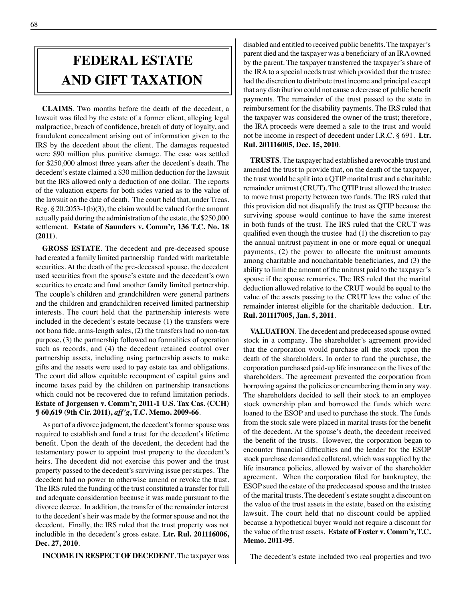## **FEDERAL ESTATE AND GIFT taxation**

**CLAIMS**. Two months before the death of the decedent, a lawsuit was filed by the estate of a former client, alleging legal malpractice, breach of confidence, breach of duty of loyalty, and fraudulent concealment arising out of information given to the IRS by the decedent about the client. The damages requested were \$90 million plus punitive damage. The case was settled for \$250,000 almost three years after the decedent's death. The decedent's estate claimed a \$30 million deduction for the lawsuit but the IRS allowed only a deduction of one dollar. The reports of the valuation experts for both sides varied as to the value of the lawsuit on the date of death. The court held that, under Treas. Reg. § 20.2053-1(b)(3), the claim would be valued for the amount actually paid during the administration of the estate, the \$250,000 settlement. **Estate of Saunders v. Comm'r, 136 T.C. No. 18 (2011)**.

**GROSS ESTATE**. The decedent and pre-deceased spouse had created a family limited partnership funded with marketable securities. At the death of the pre-deceased spouse, the decedent used securities from the spouse's estate and the decedent's own securities to create and fund another family limited partnership. The couple's children and grandchildren were general partners and the children and grandchildren received limited partnership interests. The court held that the partnership interests were included in the decedent's estate because (1) the transfers were not bona fide, arms-length sales, (2) the transfers had no non-tax purpose, (3) the partnership followed no formalities of operation such as records, and (4) the decedent retained control over partnership assets, including using partnership assets to make gifts and the assets were used to pay estate tax and obligations. The court did allow equitable recoupment of capital gains and income taxes paid by the children on partnership transactions which could not be recovered due to refund limitation periods. **Estate of Jorgensen v. Comm'r, 2011-1 U.S. Tax Cas. (CCH) ¶ 60,619 (9th Cir. 2011),** *aff'g***, T.C. Memo. 2009-66**.

As part of a divorce judgment, the decedent's former spouse was required to establish and fund a trust for the decedent's lifetime benefit. Upon the death of the decedent, the decedent had the testamentary power to appoint trust property to the decedent's heirs. The decedent did not exercise this power and the trust property passed to the decedent's surviving issue per stirpes. The decedent had no power to otherwise amend or revoke the trust. The IRS ruled the funding of the trust constituted a transfer for full and adequate consideration because it was made pursuant to the divorce decree. In addition, the transfer of the remainder interest to the decedent's heir was made by the former spouse and not the decedent. Finally, the IRS ruled that the trust property was not includible in the decedent's gross estate. **Ltr. Rul. 201116006, Dec. 27, 2010**.

**INCOME IN RESPECT OF DECEDENT**. The taxpayer was

disabled and entitled to received public benefits. The taxpayer's parent died and the taxpayer was a beneficiary of an IRA owned by the parent. The taxpayer transferred the taxpayer's share of the IRA to a special needs trust which provided that the trustee had the discretion to distribute trust income and principal except that any distribution could not cause a decrease of public benefit payments. The remainder of the trust passed to the state in reimbursement for the disability payments. The IRS ruled that the taxpayer was considered the owner of the trust; therefore, the IRA proceeds were deemed a sale to the trust and would not be income in respect of decedent under I.R.C. § 691. **Ltr. Rul. 201116005, Dec. 15, 2010**.

**TRUSTS**. The taxpayer had established a revocable trust and amended the trust to provide that, on the death of the taxpayer, the trust would be split into a QTIP marital trust and a charitable remainder unitrust (CRUT). The QTIP trust allowed the trustee to move trust property between two funds. The IRS ruled that this provision did not disqualify the trust as QTIP because the surviving spouse would continue to have the same interest in both funds of the trust. The IRS ruled that the CRUT was qualified even though the trustee had (1) the discretion to pay the annual unitrust payment in one or more equal or unequal payments, (2) the power to allocate the unitrust amounts among charitable and noncharitable beneficiaries, and (3) the ability to limit the amount of the unitrust paid to the taxpayer's spouse if the spouse remarries. The IRS ruled that the marital deduction allowed relative to the CRUT would be equal to the value of the assets passing to the CRUT less the value of the remainder interest eligible for the charitable deduction. **Ltr. Rul. 201117005, Jan. 5, 2011**.

**VALUATION**. The decedent and predeceased spouse owned stock in a company. The shareholder's agreement provided that the corporation would purchase all the stock upon the death of the shareholders. In order to fund the purchase, the corporation purchased paid-up life insurance on the lives of the shareholders. The agreement prevented the corporation from borrowing against the policies or encumbering them in any way. The shareholders decided to sell their stock to an employee stock ownership plan and borrowed the funds which were loaned to the ESOP and used to purchase the stock. The funds from the stock sale were placed in marital trusts for the benefit of the decedent. At the spouse's death, the decedent received the benefit of the trusts. However, the corporation began to encounter financial difficulties and the lender for the ESOP stock purchase demanded collateral, which was supplied by the life insurance policies, allowed by waiver of the shareholder agreement. When the corporation filed for bankruptcy, the ESOP sued the estate of the predeceased spouse and the trustee of the marital trusts. The decedent's estate sought a discount on the value of the trust assets in the estate, based on the existing lawsuit. The court held that no discount could be applied because a hypothetical buyer would not require a discount for the value of the trust assets. **Estate of Foster v. Comm'r, T.C. Memo. 2011-95**.

The decedent's estate included two real properties and two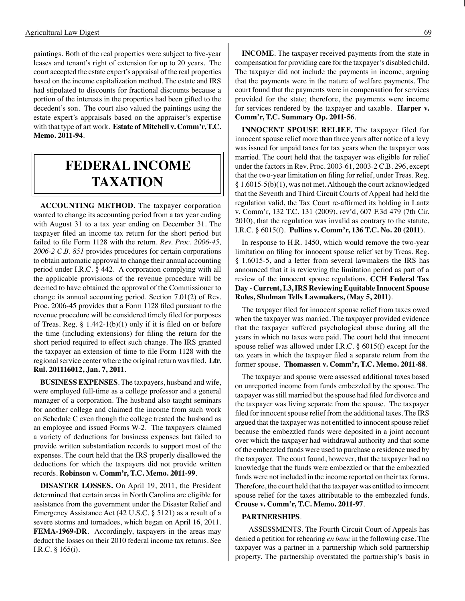paintings. Both of the real properties were subject to five-year leases and tenant's right of extension for up to 20 years. The court accepted the estate expert's appraisal of the real properties based on the income capitalization method. The estate and IRS had stipulated to discounts for fractional discounts because a portion of the interests in the properties had been gifted to the decedent's son. The court also valued the paintings using the estate expert's appraisals based on the appraiser's expertise with that type of art work. **Estate of Mitchell v. Comm'r, T.C. Memo. 2011-94**.

## **federal income taxation**

**ACCOUNTING METHOD.** The taxpayer corporation wanted to change its accounting period from a tax year ending with August 31 to a tax year ending on December 31. The taxpayer filed an income tax return for the short period but failed to file Form 1128 with the return. *Rev. Proc. 2006-45, 2006-2 C.B. 851* provides procedures for certain corporations to obtain automatic approval to change their annual accounting period under I.R.C. § 442. A corporation complying with all the applicable provisions of the revenue procedure will be deemed to have obtained the approval of the Commissioner to change its annual accounting period. Section 7.01(2) of Rev. Proc. 2006-45 provides that a Form 1128 filed pursuant to the revenue procedure will be considered timely filed for purposes of Treas. Reg. § 1.442-1(b)(1) only if it is filed on or before the time (including extensions) for filing the return for the short period required to effect such change. The IRS granted the taxpayer an extension of time to file Form 1128 with the regional service center where the original return was filed. **Ltr. Rul. 201116012, Jan. 7, 2011**.

**BUSINESS EXPENSES**. The taxpayers, husband and wife, were employed full-time as a college professor and a general manager of a corporation. The husband also taught seminars for another college and claimed the income from such work on Schedule C even though the college treated the husband as an employee and issued Forms W-2. The taxpayers claimed a variety of deductions for business expenses but failed to provide written substantiation records to support most of the expenses. The court held that the IRS properly disallowed the deductions for which the taxpayers did not provide written records. **Robinson v. Comm'r, T.C. Memo. 2011-99**.

**DISASTER LOSSES.** On April 19, 2011, the President determined that certain areas in North Carolina are eligible for assistance from the government under the Disaster Relief and Emergency Assistance Act (42 U.S.C. § 5121) as a result of a severe storms and tornadoes, which began on April 16, 2011. **FEMA-1969-DR**. Accordingly, taxpayers in the areas may deduct the losses on their 2010 federal income tax returns. See I.R.C. § 165(i).

**INCOME**. The taxpayer received payments from the state in compensation for providing care for the taxpayer's disabled child. The taxpayer did not include the payments in income, arguing that the payments were in the nature of welfare payments. The court found that the payments were in compensation for services provided for the state; therefore, the payments were income for services rendered by the taxpayer and taxable. **Harper v. Comm'r, T.C. Summary Op. 2011-56**.

**INNOCENT SPOUSE RELIEF.** The taxpayer filed for innocent spouse relief more than three years after notice of a levy was issued for unpaid taxes for tax years when the taxpayer was married. The court held that the taxpayer was eligible for relief under the factors in Rev. Proc. 2003-61, 2003-2 C.B. 296, except that the two-year limitation on filing for relief, under Treas. Reg. § 1.6015-5(b)(1), was not met. Although the court acknowledged that the Seventh and Third Circuit Courts of Appeal had held the regulation valid, the Tax Court re-affirmed its holding in Lantz v. Comm'r, 132 T.C. 131 (2009), rev'd, 607 F.3d 479 (7th Cir. 2010), that the regulation was invalid as contrary to the statute, I.R.C. § 6015(f). **Pullins v. Comm'r, 136 T.C. No. 20 (2011)**.

In response to H.R. 1450, which would remove the two-year limitation on filing for innocent spouse relief set by Treas. Reg. § 1.6015-5, and a letter from several lawmakers the IRS has announced that it is reviewing the limitation period as part of a review of the innocent spouse regulations. **CCH Federal Tax Day - Current, I.3, IRS Reviewing Equitable Innocent Spouse Rules, Shulman Tells Lawmakers, (May 5, 2011)**.

The taxpayer filed for innocent spouse relief from taxes owed when the taxpayer was married. The taxpayer provided evidence that the taxpayer suffered psychological abuse during all the years in which no taxes were paid. The court held that innocent spouse relief was allowed under I.R.C. § 6015(f) except for the tax years in which the taxpayer filed a separate return from the former spouse. **Thomassen v. Comm'r, T.C. Memo. 2011-88**.

The taxpayer and spouse were assessed additional taxes based on unreported income from funds embezzled by the spouse. The taxpayer was still married but the spouse had filed for divorce and the taxpayer was living separate from the spouse. The taxpayer filed for innocent spouse relief from the additional taxes. The IRS argued that the taxpayer was not entitled to innocent spouse relief because the embezzled funds were deposited in a joint account over which the taxpayer had withdrawal authority and that some of the embezzled funds were used to purchase a residence used by the taxpayer. The court found, however, that the taxpayer had no knowledge that the funds were embezzled or that the embezzled funds were not included in the income reported on their tax forms. Therefore, the court held that the taxpayer was entitled to innocent spouse relief for the taxes attributable to the embezzled funds. **Crouse v. Comm'r, T.C. Memo. 2011-97**.

#### **PARTNERSHIPS**.

ASSESSMENTS. The Fourth Circuit Court of Appeals has denied a petition for rehearing *en banc* in the following case. The taxpayer was a partner in a partnership which sold partnership property. The partnership overstated the partnership's basis in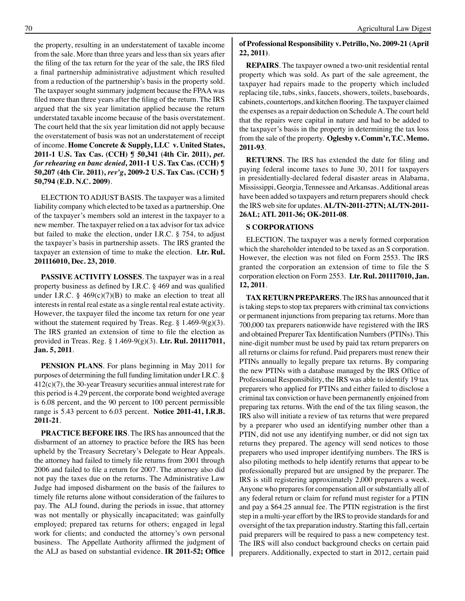the property, resulting in an understatement of taxable income from the sale. More than three years and less than six years after the filing of the tax return for the year of the sale, the IRS filed a final partnership administrative adjustment which resulted from a reduction of the partnership's basis in the property sold. The taxpayer sought summary judgment because the FPAA was filed more than three years after the filing of the return. The IRS argued that the six year limitation applied because the return understated taxable income because of the basis overstatement. The court held that the six year limitation did not apply because the overstatement of basis was not an understatement of receipt of income. **Home Concrete & Supply, LLC v. United States, 2011-1 U.S. Tax Cas. (CCH) ¶ 50,341 (4th Cir. 2011),** *pet. for rehearing en banc denied***, 2011-1 U.S. Tax Cas. (CCH) ¶ 50,207 (4th Cir. 2011),** *rev'g***, 2009-2 U.S. Tax Cas. (CCH) ¶ 50,794 (E.D. N.C. 2009)**.

ELECTION TO ADJUST BASIS. The taxpayer was a limited liability company which elected to be taxed as a partnership. One of the taxpayer's members sold an interest in the taxpayer to a new member. The taxpayer relied on a tax advisor for tax advice but failed to make the election, under I.R.C. § 754, to adjust the taxpayer's basis in partnership assets. The IRS granted the taxpayer an extension of time to make the election. **Ltr. Rul. 201116010, Dec. 23, 2010**.

**PASSIVE ACTIVITY LOSSES**. The taxpayer was in a real property business as defined by I.R.C. § 469 and was qualified under I.R.C. §  $469(c)(7)(B)$  to make an election to treat all interests in rental real estate as a single rental real estate activity. However, the taxpayer filed the income tax return for one year without the statement required by Treas. Reg.  $\S 1.469-9(g)(3)$ . The IRS granted an extension of time to file the election as provided in Treas. Reg. § 1.469-9(g)(3). **Ltr. Rul. 201117011, Jan. 5, 2011**.

**PENSION PLANS**. For plans beginning in May 2011 for purposes of determining the full funding limitation under I.R.C. § 412(c)(7), the 30-year Treasury securities annual interest rate for this period is 4.29 percent, the corporate bond weighted average is 6.08 percent, and the 90 percent to 100 percent permissible range is 5.43 percent to 6.03 percent. **Notice 2011-41, I.R.B. 2011-21**.

**PRACTICE BEFORE IRS**. The IRS has announced that the disbarment of an attorney to practice before the IRS has been upheld by the Treasury Secretary's Delegate to Hear Appeals. the attorney had failed to timely file returns from 2001 through 2006 and failed to file a return for 2007. The attorney also did not pay the taxes due on the returns. The Administrative Law Judge had imposed disbarment on the basis of the failures to timely file returns alone without consideration of the failures to pay. The ALJ found, during the periods in issue, that attorney was not mentally or physically incapacitated; was gainfully employed; prepared tax returns for others; engaged in legal work for clients; and conducted the attorney's own personal business. The Appellate Authority affirmed the judgment of the ALJ as based on substantial evidence. **IR 2011-52; Office** 

#### **of Professional Responsibility v. Petrillo, No. 2009-21 (April 22, 2011)**.

**REPAIRS**. The taxpayer owned a two-unit residential rental property which was sold. As part of the sale agreement, the taxpayer had repairs made to the property which included replacing tile, tubs, sinks, faucets, showers, toilets, baseboards, cabinets, countertops, and kitchen flooring. The taxpayer claimed the expenses as a repair deduction on Schedule A. The court held that the repairs were capital in nature and had to be added to the taxpayer's basis in the property in determining the tax loss from the sale of the property. **Oglesby v. Comm'r, T.C. Memo. 2011-93**.

**RETURNS**. The IRS has extended the date for filing and paying federal income taxes to June 30, 2011 for taxpayers in presidentially-declared federal disaster areas in Alabama, Mississippi, Georgia, Tennessee and Arkansas. Additional areas have been added so taxpayers and return preparers should check the IRS web site for updates. **AL/TN-2011-27TN; AL/TN-2011- 26AL; ATL 2011-36; OK-2011-08**.

#### **S CORPORATIONS**

ELECTION. The taxpayer was a newly formed corporation which the shareholder intended to be taxed as an S corporation. However, the election was not filed on Form 2553. The IRS granted the corporation an extension of time to file the S corporation election on Form 2553. **Ltr. Rul. 201117010, Jan. 12, 2011**.

**TAX RETURN PREPARERS**. The IRS has announced that it is taking steps to stop tax preparers with criminal tax convictions or permanent injunctions from preparing tax returns. More than 700,000 tax preparers nationwide have registered with the IRS and obtained Preparer Tax Identification Numbers (PTINs). This nine-digit number must be used by paid tax return preparers on all returns or claims for refund. Paid preparers must renew their PTINs annually to legally prepare tax returns. By comparing the new PTINs with a database managed by the IRS Office of Professional Responsibility, the IRS was able to identify 19 tax preparers who applied for PTINs and either failed to disclose a criminal tax conviction or have been permanently enjoined from preparing tax returns. With the end of the tax filing season, the IRS also will initiate a review of tax returns that were prepared by a preparer who used an identifying number other than a PTIN, did not use any identifying number, or did not sign tax returns they prepared. The agency will send notices to those preparers who used improper identifying numbers. The IRS is also piloting methods to help identify returns that appear to be professionally prepared but are unsigned by the preparer. The IRS is still registering approximately 2,000 preparers a week. Anyone who prepares for compensation all or substantially all of any federal return or claim for refund must register for a PTIN and pay a \$64.25 annual fee. The PTIN registration is the first step in a multi-year effort by the IRS to provide standards for and oversight of the tax preparation industry. Starting this fall, certain paid preparers will be required to pass a new competency test. The IRS will also conduct background checks on certain paid preparers. Additionally, expected to start in 2012, certain paid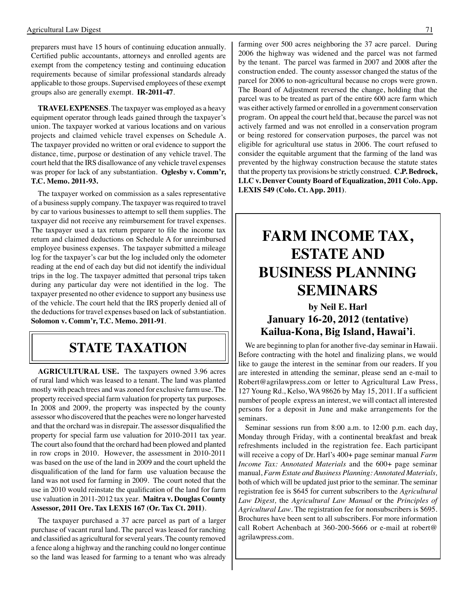preparers must have 15 hours of continuing education annually. Certified public accountants, attorneys and enrolled agents are exempt from the competency testing and continuing education requirements because of similar professional standards already applicable to those groups. Supervised employees of these exempt groups also are generally exempt. **IR-2011-47**.

**TRAVEL EXPENSES**. The taxpayer was employed as a heavy equipment operator through leads gained through the taxpayer's union. The taxpayer worked at various locations and on various projects and claimed vehicle travel expenses on Schedule A. The taxpayer provided no written or oral evidence to support the distance, time, purpose or destination of any vehicle travel. The court held that the IRS disallowance of any vehicle travel expenses was proper for lack of any substantiation. **Oglesby v. Comm'r, T.C. Memo. 2011-93.**

The taxpayer worked on commission as a sales representative of a business supply company. The taxpayer was required to travel by car to various businesses to attempt to sell them supplies. The taxpayer did not receive any reimbursement for travel expenses. The taxpayer used a tax return preparer to file the income tax return and claimed deductions on Schedule A for unreimbursed employee business expenses. The taxpayer submitted a mileage log for the taxpayer's car but the log included only the odometer reading at the end of each day but did not identify the individual trips in the log. The taxpayer admitted that personal trips taken during any particular day were not identified in the log. The taxpayer presented no other evidence to support any business use of the vehicle. The court held that the IRS properly denied all of the deductions for travel expenses based on lack of substantiation. **Solomon v. Comm'r, T.C. Memo. 2011-91**.

## **STate taxation**

**AGRICULTURAL USE.** The taxpayers owned 3.96 acres of rural land which was leased to a tenant. The land was planted mostly with peach trees and was zoned for exclusive farm use. The property received special farm valuation for property tax purposes. In 2008 and 2009, the property was inspected by the county assessor who discovered that the peaches were no longer harvested and that the orchard was in disrepair. The assessor disqualified the property for special farm use valuation for 2010-2011 tax year. The court also found that the orchard had been plowed and planted in row crops in 2010. However, the assessment in 2010-2011 was based on the use of the land in 2009 and the court upheld the disqualification of the land for farm use valuation because the land was not used for farming in 2009. The court noted that the use in 2010 would reinstate the qualification of the land for farm use valuation in 2011-2012 tax year. **Maitra v. Douglas County Assessor, 2011 Ore. Tax LEXIS 167 (Or. Tax Ct. 2011)**.

The taxpayer purchased a 37 acre parcel as part of a larger purchase of vacant rural land. The parcel was leased for ranching and classified as agricultural for several years. The county removed a fence along a highway and the ranching could no longer continue so the land was leased for farming to a tenant who was already

farming over 500 acres neighboring the 37 acre parcel. During 2006 the highway was widened and the parcel was not farmed by the tenant. The parcel was farmed in 2007 and 2008 after the construction ended. The county assessor changed the status of the parcel for 2006 to non-agricultural because no crops were grown. The Board of Adjustment reversed the change, holding that the parcel was to be treated as part of the entire 600 acre farm which was either actively farmed or enrolled in a government conservation program. On appeal the court held that, because the parcel was not actively farmed and was not enrolled in a conservation program or being restored for conservation purposes, the parcel was not eligible for agricultural use status in 2006. The court refused to consider the equitable argument that the farming of the land was prevented by the highway construction because the statute states that the property tax provisions be strictly construed. **C.P. Bedrock, LLC v. Denver County Board of Equalization, 2011 Colo. App. LEXIS 549 (Colo. Ct. App. 2011)**.

## **FARM INCOME TAX, ESTATE AND BUSINESS PLANNING SEMINARS**

### **by Neil E. Harl January 16-20, 2012 (tentative) Kailua-Kona, Big Island, Hawai'i**.

We are beginning to plan for another five-day seminar in Hawaii. Before contracting with the hotel and finalizing plans, we would like to gauge the interest in the seminar from our readers. If you are interested in attending the seminar, please send an e-mail to Robert@agrilawpress.com or letter to Agricultural Law Press, 127 Young Rd., Kelso, WA 98626 by May 15, 2011. If a sufficient number of people express an interest, we will contact all interested persons for a deposit in June and make arrangements for the seminars.

Seminar sessions run from 8:00 a.m. to 12:00 p.m. each day, Monday through Friday, with a continental breakfast and break refreshments included in the registration fee. Each participant will receive a copy of Dr. Harl's 400+ page seminar manual *Farm Income Tax: Annotated Materials* and the 600+ page seminar manual, *Farm Estate and Business Planning: Annotated Materials,* both of which will be updated just prior to the seminar. The seminar registration fee is \$645 for current subscribers to the *Agricultural Law Digest,* the *Agricultural Law Manual* or the *Principles of Agricultural Law*. The registration fee for nonsubscribers is \$695. Brochures have been sent to all subscribers. For more information call Robert Achenbach at 360-200-5666 or e-mail at robert@ agrilawpress.com.